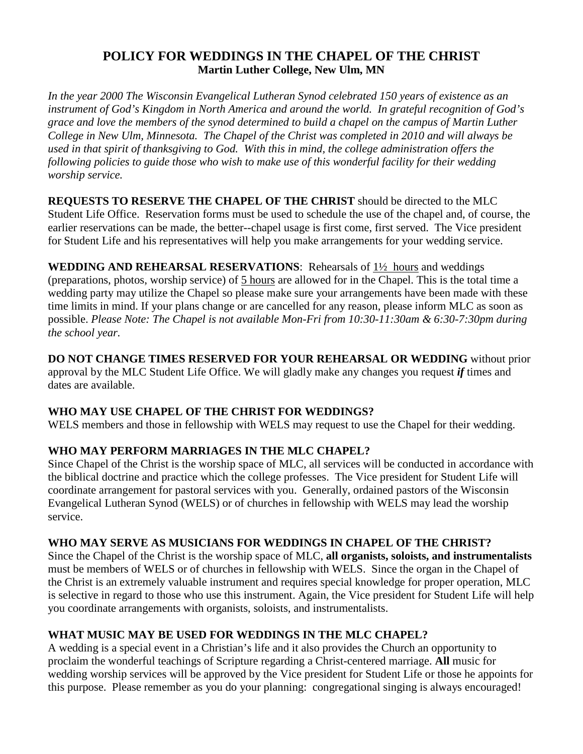# **POLICY FOR WEDDINGS IN THE CHAPEL OF THE CHRIST Martin Luther College, New Ulm, MN**

*In the year 2000 The Wisconsin Evangelical Lutheran Synod celebrated 150 years of existence as an instrument of God's Kingdom in North America and around the world. In grateful recognition of God's grace and love the members of the synod determined to build a chapel on the campus of Martin Luther College in New Ulm, Minnesota. The Chapel of the Christ was completed in 2010 and will always be used in that spirit of thanksgiving to God. With this in mind, the college administration offers the following policies to guide those who wish to make use of this wonderful facility for their wedding worship service.* 

**REQUESTS TO RESERVE THE CHAPEL OF THE CHRIST** should be directed to the MLC Student Life Office. Reservation forms must be used to schedule the use of the chapel and, of course, the earlier reservations can be made, the better--chapel usage is first come, first served. The Vice president for Student Life and his representatives will help you make arrangements for your wedding service.

**WEDDING AND REHEARSAL RESERVATIONS**: Rehearsals of 1½ hours and weddings (preparations, photos, worship service) of 5 hours are allowed for in the Chapel. This is the total time a wedding party may utilize the Chapel so please make sure your arrangements have been made with these time limits in mind. If your plans change or are cancelled for any reason, please inform MLC as soon as possible. *Please Note: The Chapel is not available Mon-Fri from 10:30-11:30am & 6:30-7:30pm during the school year.*

**DO NOT CHANGE TIMES RESERVED FOR YOUR REHEARSAL OR WEDDING** without prior approval by the MLC Student Life Office. We will gladly make any changes you request *if* times and dates are available.

# **WHO MAY USE CHAPEL OF THE CHRIST FOR WEDDINGS?**

WELS members and those in fellowship with WELS may request to use the Chapel for their wedding.

# **WHO MAY PERFORM MARRIAGES IN THE MLC CHAPEL?**

Since Chapel of the Christ is the worship space of MLC, all services will be conducted in accordance with the biblical doctrine and practice which the college professes. The Vice president for Student Life will coordinate arrangement for pastoral services with you. Generally, ordained pastors of the Wisconsin Evangelical Lutheran Synod (WELS) or of churches in fellowship with WELS may lead the worship service.

# **WHO MAY SERVE AS MUSICIANS FOR WEDDINGS IN CHAPEL OF THE CHRIST?**

Since the Chapel of the Christ is the worship space of MLC, **all organists, soloists, and instrumentalists** must be members of WELS or of churches in fellowship with WELS. Since the organ in the Chapel of the Christ is an extremely valuable instrument and requires special knowledge for proper operation, MLC is selective in regard to those who use this instrument. Again, the Vice president for Student Life will help you coordinate arrangements with organists, soloists, and instrumentalists.

# **WHAT MUSIC MAY BE USED FOR WEDDINGS IN THE MLC CHAPEL?**

A wedding is a special event in a Christian's life and it also provides the Church an opportunity to proclaim the wonderful teachings of Scripture regarding a Christ-centered marriage. **All** music for wedding worship services will be approved by the Vice president for Student Life or those he appoints for this purpose. Please remember as you do your planning: congregational singing is always encouraged!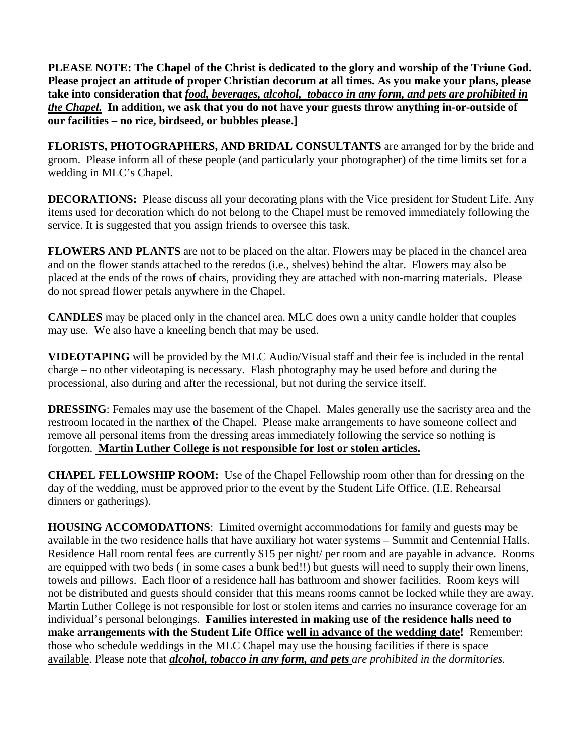**PLEASE NOTE: The Chapel of the Christ is dedicated to the glory and worship of the Triune God. Please project an attitude of proper Christian decorum at all times. As you make your plans, please take into consideration that** *food, beverages, alcohol, tobacco in any form, and pets are prohibited in the Chapel.* **In addition, we ask that you do not have your guests throw anything in-or-outside of our facilities – no rice, birdseed, or bubbles please.]** 

**FLORISTS, PHOTOGRAPHERS, AND BRIDAL CONSULTANTS** are arranged for by the bride and groom. Please inform all of these people (and particularly your photographer) of the time limits set for a wedding in MLC's Chapel.

**DECORATIONS:** Please discuss all your decorating plans with the Vice president for Student Life. Any items used for decoration which do not belong to the Chapel must be removed immediately following the service. It is suggested that you assign friends to oversee this task.

**FLOWERS AND PLANTS** are not to be placed on the altar. Flowers may be placed in the chancel area and on the flower stands attached to the reredos (i.e., shelves) behind the altar. Flowers may also be placed at the ends of the rows of chairs, providing they are attached with non-marring materials. Please do not spread flower petals anywhere in the Chapel.

**CANDLES** may be placed only in the chancel area. MLC does own a unity candle holder that couples may use. We also have a kneeling bench that may be used.

**VIDEOTAPING** will be provided by the MLC Audio/Visual staff and their fee is included in the rental charge – no other videotaping is necessary. Flash photography may be used before and during the processional, also during and after the recessional, but not during the service itself.

**DRESSING**: Females may use the basement of the Chapel. Males generally use the sacristy area and the restroom located in the narthex of the Chapel. Please make arrangements to have someone collect and remove all personal items from the dressing areas immediately following the service so nothing is forgotten. **Martin Luther College is not responsible for lost or stolen articles.**

**CHAPEL FELLOWSHIP ROOM:** Use of the Chapel Fellowship room other than for dressing on the day of the wedding, must be approved prior to the event by the Student Life Office. (I.E. Rehearsal dinners or gatherings).

**HOUSING ACCOMODATIONS**: Limited overnight accommodations for family and guests may be available in the two residence halls that have auxiliary hot water systems – Summit and Centennial Halls. Residence Hall room rental fees are currently \$15 per night/ per room and are payable in advance. Rooms are equipped with two beds ( in some cases a bunk bed!!) but guests will need to supply their own linens, towels and pillows. Each floor of a residence hall has bathroom and shower facilities. Room keys will not be distributed and guests should consider that this means rooms cannot be locked while they are away. Martin Luther College is not responsible for lost or stolen items and carries no insurance coverage for an individual's personal belongings. **Families interested in making use of the residence halls need to make arrangements with the Student Life Office well in advance of the wedding date!** Remember: those who schedule weddings in the MLC Chapel may use the housing facilities if there is space available. Please note that *alcohol, tobacco in any form, and pets are prohibited in the dormitories.*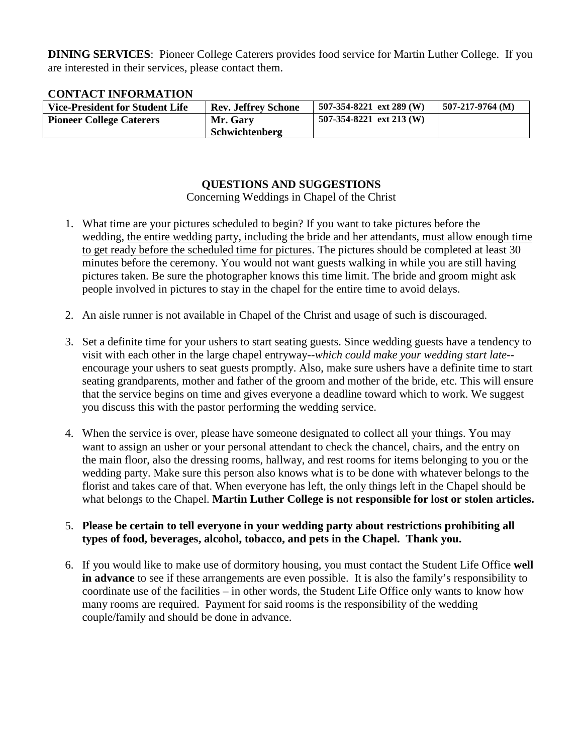**DINING SERVICES**: Pioneer College Caterers provides food service for Martin Luther College. If you are interested in their services, please contact them.

## **CONTACT INFORMATION**

| <b>Vice-President for Student Life</b> | <b>Rev. Jeffrey Schone</b> | $507-354-8221$ ext 289 (W) | $507-217-9764$ (M) |
|----------------------------------------|----------------------------|----------------------------|--------------------|
| <b>Pioneer College Caterers</b>        | Mr. Gary                   | 507-354-8221 ext 213 (W)   |                    |
|                                        | Schwichtenberg             |                            |                    |

## **QUESTIONS AND SUGGESTIONS**

Concerning Weddings in Chapel of the Christ

- 1. What time are your pictures scheduled to begin? If you want to take pictures before the wedding, the entire wedding party, including the bride and her attendants, must allow enough time to get ready before the scheduled time for pictures. The pictures should be completed at least 30 minutes before the ceremony. You would not want guests walking in while you are still having pictures taken. Be sure the photographer knows this time limit. The bride and groom might ask people involved in pictures to stay in the chapel for the entire time to avoid delays.
- 2. An aisle runner is not available in Chapel of the Christ and usage of such is discouraged.
- 3. Set a definite time for your ushers to start seating guests. Since wedding guests have a tendency to visit with each other in the large chapel entryway--*which could make your wedding start late*- encourage your ushers to seat guests promptly. Also, make sure ushers have a definite time to start seating grandparents, mother and father of the groom and mother of the bride, etc. This will ensure that the service begins on time and gives everyone a deadline toward which to work. We suggest you discuss this with the pastor performing the wedding service.
- 4. When the service is over, please have someone designated to collect all your things. You may want to assign an usher or your personal attendant to check the chancel, chairs, and the entry on the main floor, also the dressing rooms, hallway, and rest rooms for items belonging to you or the wedding party. Make sure this person also knows what is to be done with whatever belongs to the florist and takes care of that. When everyone has left, the only things left in the Chapel should be what belongs to the Chapel. **Martin Luther College is not responsible for lost or stolen articles.**

### 5. **Please be certain to tell everyone in your wedding party about restrictions prohibiting all types of food, beverages, alcohol, tobacco, and pets in the Chapel. Thank you.**

6. If you would like to make use of dormitory housing, you must contact the Student Life Office **well in advance** to see if these arrangements are even possible. It is also the family's responsibility to coordinate use of the facilities – in other words, the Student Life Office only wants to know how many rooms are required. Payment for said rooms is the responsibility of the wedding couple/family and should be done in advance.